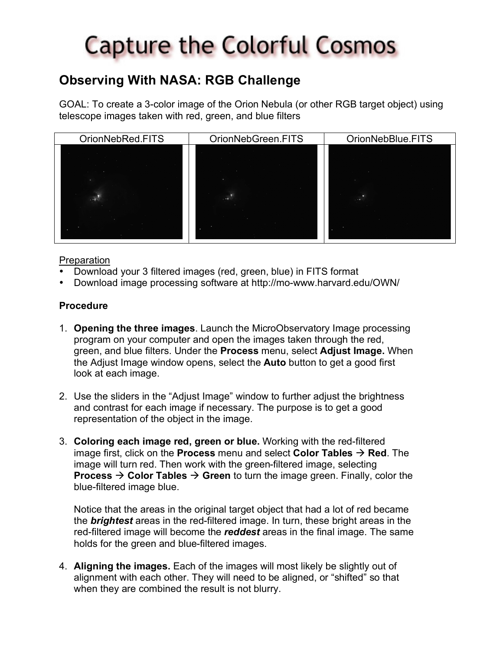# **Capture the Colorful Cosmos**

### **Observing With NASA: RGB Challenge**

GOAL: To create a 3-color image of the Orion Nebula (or other RGB target object) using telescope images taken with red, green, and blue filters



#### **Preparation**

- Download your 3 filtered images (red, green, blue) in FITS format
- Download image processing software at http://mo-www.harvard.edu/OWN/

#### **Procedure**

- 1. **Opening the three images**. Launch the MicroObservatory Image processing program on your computer and open the images taken through the red, green, and blue filters. Under the **Process** menu, select **Adjust Image.** When the Adjust Image window opens, select the **Auto** button to get a good first look at each image.
- 2. Use the sliders in the "Adjust Image" window to further adjust the brightness and contrast for each image if necessary. The purpose is to get a good representation of the object in the image.
- 3. **Coloring each image red, green or blue.** Working with the red-filtered image first, click on the **Process** menu and select **Color Tables**  $\rightarrow$  **Red**. The image will turn red. Then work with the green-filtered image, selecting **Process**  $\rightarrow$  **Color Tables**  $\rightarrow$  **Green** to turn the image green. Finally, color the blue-filtered image blue.

Notice that the areas in the original target object that had a lot of red became the *brightest* areas in the red-filtered image. In turn, these bright areas in the red-filtered image will become the *reddest* areas in the final image. The same holds for the green and blue-filtered images.

4. **Aligning the images.** Each of the images will most likely be slightly out of alignment with each other. They will need to be aligned, or "shifted" so that when they are combined the result is not blurry.